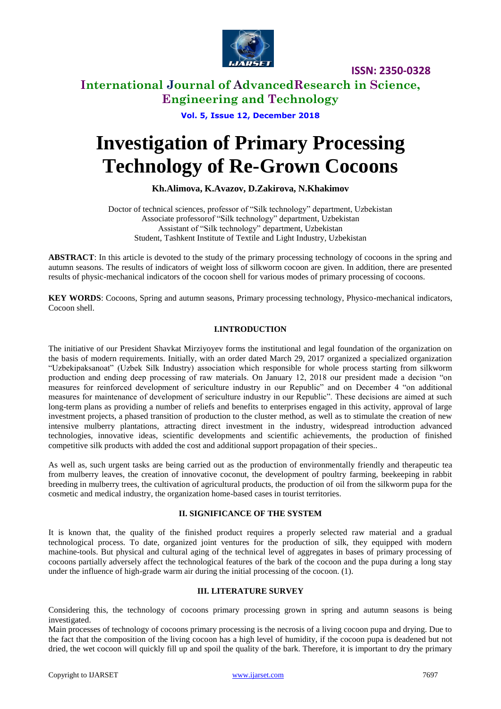

## **International Journal of AdvancedResearch in Science, Engineering and Technology**

**Vol. 5, Issue 12, December 2018**

# **Investigation of Primary Processing Technology of Re-Grown Cocoons**

#### **Kh.Alimova, K.Avazov, D.Zakirova, N.Khakimov**

Doctor of technical sciences, professor of "Silk technology" department, Uzbekistan Associate professorof "Silk technology" department, Uzbekistan Assistant of "Silk technology" department, Uzbekistan Student, Tashkent Institute of Textile and Light Industry, Uzbekistan

**ABSTRACT**: In this article is devoted to the study of the primary processing technology of cocoons in the spring and autumn seasons. The results of indicators of weight loss of silkworm cocoon are given. In addition, there are presented results of physic-mechanical indicators of the cocoon shell for various modes of primary processing of cocoons.

**KEY WORDS**: Cocoons, Spring and autumn seasons, Primary processing technology, Physico-mechanical indicators, Cocoon shell.

#### **I.INTRODUCTION**

The initiative of our President Shavkat Mirziyoyev forms the institutional and legal foundation of the organization on the basis of modern requirements. Initially, with an order dated March 29, 2017 organized a specialized organization "Uzbekipaksanoat" (Uzbek Silk Industry) association which responsible for whole process starting from silkworm production and ending deep processing of raw materials. On January 12, 2018 our president made a decision "on measures for reinforced development of sericulture industry in our Republic" and on December 4 "on additional measures for maintenance of development of sericulture industry in our Republic". These decisions are aimed at such long-term plans as providing a number of reliefs and benefits to enterprises engaged in this activity, approval of large investment projects, a phased transition of production to the cluster method, as well as to stimulate the creation of new intensive mulberry plantations, attracting direct investment in the industry, widespread introduction advanced technologies, innovative ideas, scientific developments and scientific achievements, the production of finished competitive silk products with added the cost and additional support propagation of their species..

As well as, such urgent tasks are being carried out as the production of environmentally friendly and therapeutic tea from mulberry leaves, the creation of innovative coconut, the development of poultry farming, beekeeping in rabbit breeding in mulberry trees, the cultivation of agricultural products, the production of oil from the silkworm pupa for the cosmetic and medical industry, the organization home-based cases in tourist territories.

#### **II. SIGNIFICANCE OF THE SYSTEM**

It is known that, the quality of the finished product requires a properly selected raw material and a gradual technological process. To date, organized joint ventures for the production of silk, they equipped with modern machine-tools. But physical and cultural aging of the technical level of aggregates in bases of primary processing of cocoons partially adversely affect the technological features of the bark of the cocoon and the pupa during a long stay under the influence of high-grade warm air during the initial processing of the cocoon. (1).

#### **III. LITERATURE SURVEY**

Considering this, the technology of cocoons primary processing grown in spring and autumn seasons is being investigated.

Main processes of technology of cocoons primary processing is the necrosis of a living cocoon pupa and drying. Due to the fact that the composition of the living cocoon has a high level of humidity, if the cocoon pupa is deadened but not dried, the wet cocoon will quickly fill up and spoil the quality of the bark. Therefore, it is important to dry the primary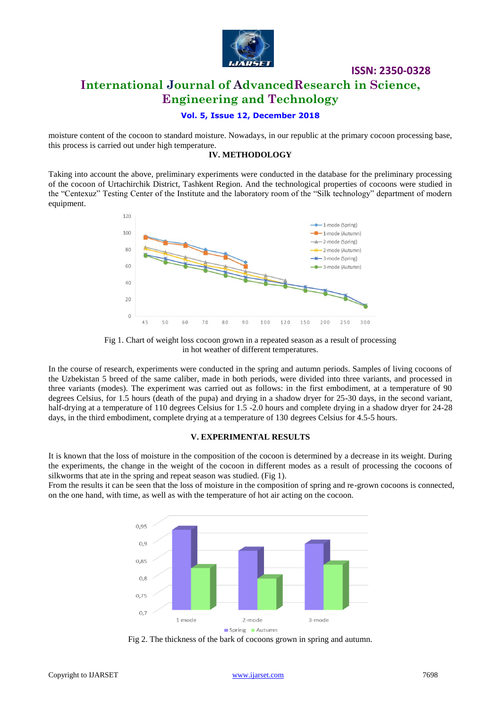

## **International Journal of AdvancedResearch in Science, Engineering and Technology**

#### **Vol. 5, Issue 12, December 2018**

moisture content of the cocoon to standard moisture. Nowadays, in our republic at the primary cocoon processing base, this process is carried out under high temperature.

#### **IV. METHODOLOGY**

Taking into account the above, preliminary experiments were conducted in the database for the preliminary processing of the cocoon of Urtachirchik District, Tashkent Region. And the technological properties of cocoons were studied in the "Centexuz" Testing Center of the Institute and the laboratory room of the "Silk technology" department of modern equipment.



Fig 1. Chart of weight loss cocoon grown in a repeated season as a result of processing in hot weather of different temperatures.

In the course of research, experiments were conducted in the spring and autumn periods. Samples of living cocoons of the Uzbekistan 5 breed of the same caliber, made in both periods, were divided into three variants, and processed in three variants (modes). The experiment was carried out as follows: in the first embodiment, at a temperature of 90 degrees Celsius, for 1.5 hours (death of the pupa) and drying in a shadow dryer for 25-30 days, in the second variant, half-drying at a temperature of 110 degrees Celsius for 1.5 -2.0 hours and complete drying in a shadow dryer for 24-28 days, in the third embodiment, complete drying at a temperature of 130 degrees Celsius for 4.5-5 hours.

#### **V. EXPERIMENTAL RESULTS**

It is known that the loss of moisture in the composition of the cocoon is determined by a decrease in its weight. During the experiments, the change in the weight of the cocoon in different modes as a result of processing the cocoons of silkworms that ate in the spring and repeat season was studied. (Fig 1).

From the results it can be seen that the loss of moisture in the composition of spring and re-grown cocoons is connected, on the one hand, with time, as well as with the temperature of hot air acting on the cocoon.



Fig 2. The thickness of the bark of cocoons grown in spring and autumn.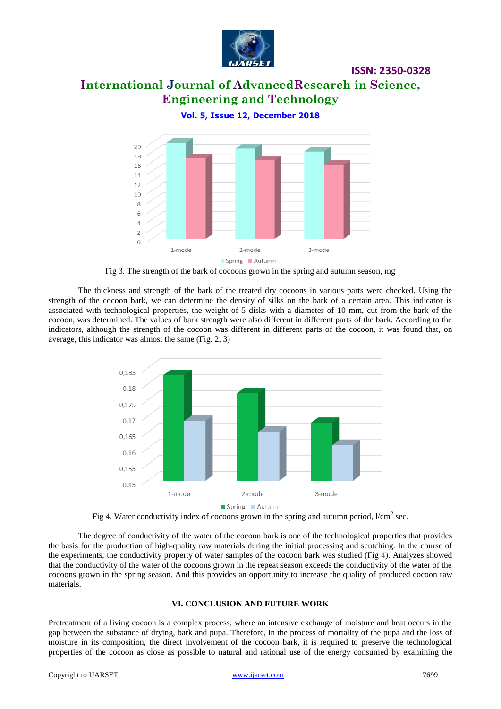

# **International Journal of AdvancedResearch in Science, Engineering and Technology**

**Vol. 5, Issue 12, December 2018**



Fig 3. The strength of the bark of cocoons grown in the spring and autumn season, mg

The thickness and strength of the bark of the treated dry cocoons in various parts were checked. Using the strength of the cocoon bark, we can determine the density of silks on the bark of a certain area. This indicator is associated with technological properties, the weight of 5 disks with a diameter of 10 mm, cut from the bark of the cocoon, was determined. The values of bark strength were also different in different parts of the bark. According to the indicators, although the strength of the cocoon was different in different parts of the cocoon, it was found that, on average, this indicator was almost the same (Fig. 2, 3)



Fig 4. Water conductivity index of cocoons grown in the spring and autumn period,  $l/cm^2$  sec.

The degree of conductivity of the water of the cocoon bark is one of the technological properties that provides the basis for the production of high-quality raw materials during the initial processing and scutching. In the course of the experiments, the conductivity property of water samples of the cocoon bark was studied (Fig 4). Analyzes showed that the conductivity of the water of the cocoons grown in the repeat season exceeds the conductivity of the water of the cocoons grown in the spring season. And this provides an opportunity to increase the quality of produced cocoon raw materials.

#### **VI. CONCLUSION AND FUTURE WORK**

Pretreatment of a living cocoon is a complex process, where an intensive exchange of moisture and heat occurs in the gap between the substance of drying, bark and pupa. Therefore, in the process of mortality of the pupa and the loss of moisture in its composition, the direct involvement of the cocoon bark, it is required to preserve the technological properties of the cocoon as close as possible to natural and rational use of the energy consumed by examining the